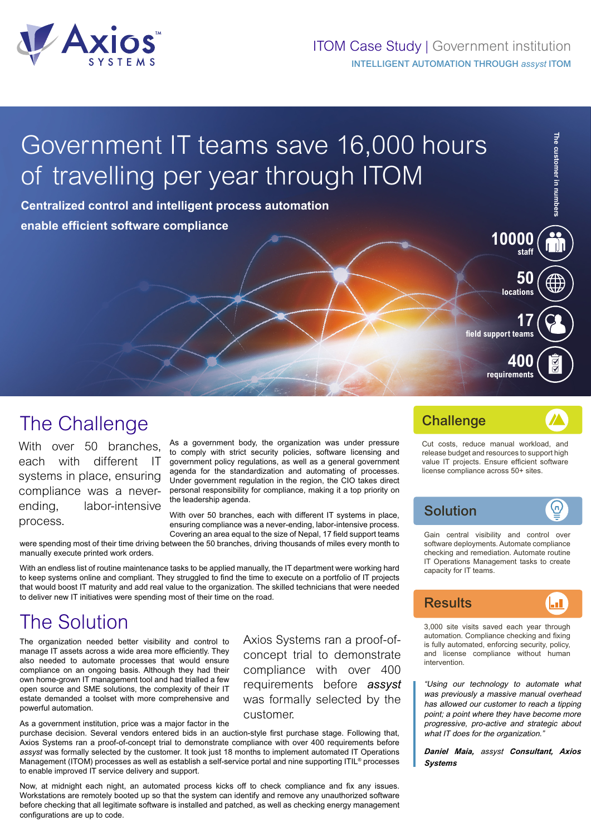

# Government IT teams save 16,000 hours of travelling per year through ITOM

**Centralized control and intelligent process automation enable efficient software compliance**

# The Challenge

With over 50 branches. each with different IT systems in place, ensuring compliance was a neverending, labor-intensive process.

As a government body, the organization was under pressure to comply with strict security policies, software licensing and government policy regulations, as well as a general government agenda for the standardization and automating of processes. Under government regulation in the region, the CIO takes direct personal responsibility for compliance, making it a top priority on the leadership agenda.

With over 50 branches, each with different IT systems in place, ensuring compliance was a never-ending, labor-intensive process. Covering an area equal to the size of Nepal, 17 field support teams

customer.

Axios Systems ran a proof-ofconcept trial to demonstrate compliance with over 400 requirements before *assyst* was formally selected by the

were spending most of their time driving between the 50 branches, driving thousands of miles every month to manually execute printed work orders.

With an endless list of routine maintenance tasks to be applied manually, the IT department were working hard to keep systems online and compliant. They struggled to find the time to execute on a portfolio of IT projects that would boost IT maturity and add real value to the organization. The skilled technicians that were needed to deliver new IT initiatives were spending most of their time on the road.

# The Solution

The organization needed better visibility and control to manage IT assets across a wide area more efficiently. They also needed to automate processes that would ensure compliance on an ongoing basis. Although they had their own home-grown IT management tool and had trialled a few open source and SME solutions, the complexity of their IT estate demanded a toolset with more comprehensive and powerful automation.

As a government institution, price was a major factor in the

purchase decision. Several vendors entered bids in an auction-style first purchase stage. Following that, Axios Systems ran a proof-of-concept trial to demonstrate compliance with over 400 requirements before *assyst* was formally selected by the customer. It took just 18 months to implement automated IT Operations Management (ITOM) processes as well as establish a self-service portal and nine supporting ITIL<sup>®</sup> processes to enable improved IT service delivery and support.

Now, at midnight each night, an automated process kicks off to check compliance and fix any issues. Workstations are remotely booted up so that the system can identify and remove any unauthorized software before checking that all legitimate software is installed and patched, as well as checking energy management configurations are up to code.

### **Challenge**

Cut costs, reduce manual workload, and release budget and resources to support high value IT projects. Ensure efficient software license compliance across 50+ sites.

**field support teams**

**The customer in numbers**

The customer in numbers

**50 locations**

**10000 staff**

**17**

**400 requirements**

#### (n) Solution

Gain central visibility and control over software deployments. Automate compliance checking and remediation. Automate routine IT Operations Management tasks to create capacity for IT teams.



3,000 site visits saved each year through automation. Compliance checking and fixing is fully automated, enforcing security, policy, and license compliance without human intervention.

"Using our technology to automate what was previously a massive manual overhead has allowed our customer to reach a tipping point; a point where they have become more progressive, pro-active and strategic about what IT does for the organization."

*Daniel Maia, assyst Consultant, Axios Systems*